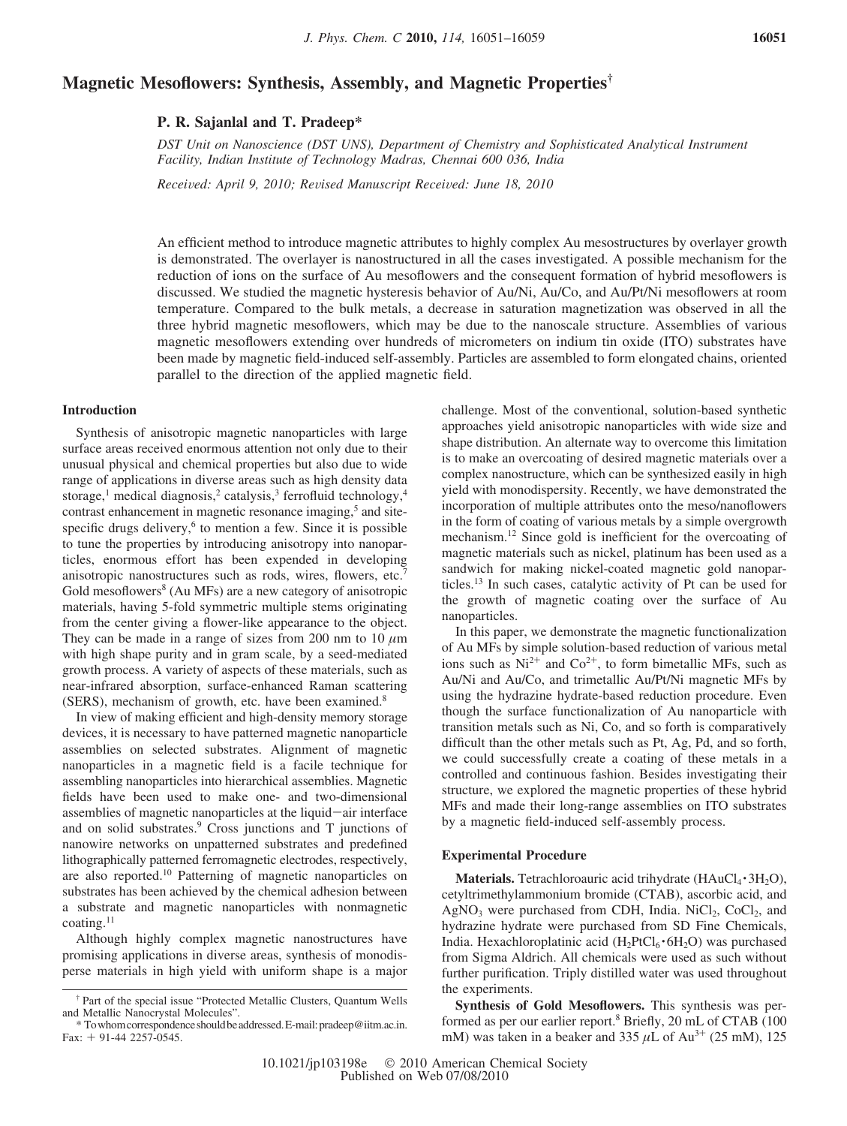# **Magnetic Mesoflowers: Synthesis, Assembly, and Magnetic Properties†**

**P. R. Sajanlal and T. Pradeep\***

*DST Unit on Nanoscience (DST UNS), Department of Chemistry and Sophisticated Analytical Instrument Facility, Indian Institute of Technology Madras, Chennai 600 036, India*

*Recei*V*ed: April 9, 2010; Re*V*ised Manuscript Recei*V*ed: June 18, 2010*

An efficient method to introduce magnetic attributes to highly complex Au mesostructures by overlayer growth is demonstrated. The overlayer is nanostructured in all the cases investigated. A possible mechanism for the reduction of ions on the surface of Au mesoflowers and the consequent formation of hybrid mesoflowers is discussed. We studied the magnetic hysteresis behavior of Au/Ni, Au/Co, and Au/Pt/Ni mesoflowers at room temperature. Compared to the bulk metals, a decrease in saturation magnetization was observed in all the three hybrid magnetic mesoflowers, which may be due to the nanoscale structure. Assemblies of various magnetic mesoflowers extending over hundreds of micrometers on indium tin oxide (ITO) substrates have been made by magnetic field-induced self-assembly. Particles are assembled to form elongated chains, oriented parallel to the direction of the applied magnetic field.

# **Introduction**

Synthesis of anisotropic magnetic nanoparticles with large surface areas received enormous attention not only due to their unusual physical and chemical properties but also due to wide range of applications in diverse areas such as high density data storage,<sup>1</sup> medical diagnosis,<sup>2</sup> catalysis,<sup>3</sup> ferrofluid technology,<sup>4</sup> contrast enhancement in magnetic resonance imaging,<sup>5</sup> and sitespecific drugs delivery, $6$  to mention a few. Since it is possible to tune the properties by introducing anisotropy into nanoparticles, enormous effort has been expended in developing anisotropic nanostructures such as rods, wires, flowers, etc.7 Gold mesoflowers<sup>8</sup> (Au MFs) are a new category of anisotropic materials, having 5-fold symmetric multiple stems originating from the center giving a flower-like appearance to the object. They can be made in a range of sizes from 200 nm to 10  $\mu$ m with high shape purity and in gram scale, by a seed-mediated growth process. A variety of aspects of these materials, such as near-infrared absorption, surface-enhanced Raman scattering (SERS), mechanism of growth, etc. have been examined.8

In view of making efficient and high-density memory storage devices, it is necessary to have patterned magnetic nanoparticle assemblies on selected substrates. Alignment of magnetic nanoparticles in a magnetic field is a facile technique for assembling nanoparticles into hierarchical assemblies. Magnetic fields have been used to make one- and two-dimensional assemblies of magnetic nanoparticles at the liquid-air interface and on solid substrates.9 Cross junctions and T junctions of nanowire networks on unpatterned substrates and predefined lithographically patterned ferromagnetic electrodes, respectively, are also reported.10 Patterning of magnetic nanoparticles on substrates has been achieved by the chemical adhesion between a substrate and magnetic nanoparticles with nonmagnetic coating.11

Although highly complex magnetic nanostructures have promising applications in diverse areas, synthesis of monodisperse materials in high yield with uniform shape is a major challenge. Most of the conventional, solution-based synthetic approaches yield anisotropic nanoparticles with wide size and shape distribution. An alternate way to overcome this limitation is to make an overcoating of desired magnetic materials over a complex nanostructure, which can be synthesized easily in high yield with monodispersity. Recently, we have demonstrated the incorporation of multiple attributes onto the meso/nanoflowers in the form of coating of various metals by a simple overgrowth mechanism.12 Since gold is inefficient for the overcoating of magnetic materials such as nickel, platinum has been used as a sandwich for making nickel-coated magnetic gold nanoparticles.13 In such cases, catalytic activity of Pt can be used for the growth of magnetic coating over the surface of Au nanoparticles.

In this paper, we demonstrate the magnetic functionalization of Au MFs by simple solution-based reduction of various metal ions such as  $Ni^{2+}$  and  $Co^{2+}$ , to form bimetallic MFs, such as Au/Ni and Au/Co, and trimetallic Au/Pt/Ni magnetic MFs by using the hydrazine hydrate-based reduction procedure. Even though the surface functionalization of Au nanoparticle with transition metals such as Ni, Co, and so forth is comparatively difficult than the other metals such as Pt, Ag, Pd, and so forth, we could successfully create a coating of these metals in a controlled and continuous fashion. Besides investigating their structure, we explored the magnetic properties of these hybrid MFs and made their long-range assemblies on ITO substrates by a magnetic field-induced self-assembly process.

#### **Experimental Procedure**

Materials. Tetrachloroauric acid trihydrate (HAuCl<sub>4</sub> · 3H<sub>2</sub>O), cetyltrimethylammonium bromide (CTAB), ascorbic acid, and AgNO<sub>3</sub> were purchased from CDH, India. NiCl<sub>2</sub>, CoCl<sub>2</sub>, and hydrazine hydrate were purchased from SD Fine Chemicals, India. Hexachloroplatinic acid  $(H_2PtCl_6 \cdot 6H_2O)$  was purchased from Sigma Aldrich. All chemicals were used as such without further purification. Triply distilled water was used throughout the experiments.

**Synthesis of Gold Mesoflowers.** This synthesis was performed as per our earlier report.<sup>8</sup> Briefly, 20 mL of CTAB (100) mM) was taken in a beaker and 335  $\mu$ L of Au<sup>3+</sup> (25 mM), 125

<sup>†</sup> Part of the special issue "Protected Metallic Clusters, Quantum Wells and Metallic Nanocrystal Molecules".

<sup>\*</sup> Towhomcorrespondenceshouldbeaddressed.E-mail:pradeep@iitm.ac.in. Fax:  $+$  91-44 2257-0545.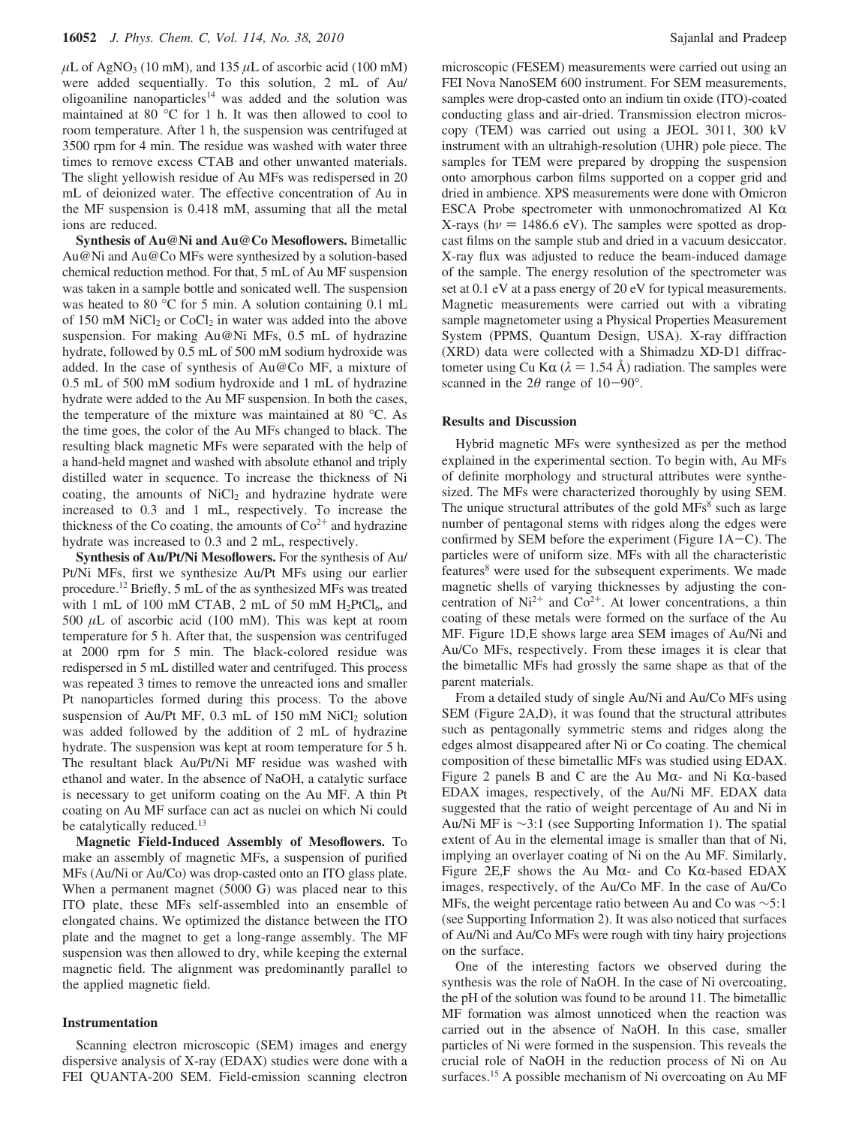$\mu$ L of AgNO<sub>3</sub> (10 mM), and 135  $\mu$ L of ascorbic acid (100 mM) were added sequentially. To this solution, 2 mL of Au/ oligoaniline nanoparticles<sup>14</sup> was added and the solution was maintained at 80 °C for 1 h. It was then allowed to cool to room temperature. After 1 h, the suspension was centrifuged at 3500 rpm for 4 min. The residue was washed with water three times to remove excess CTAB and other unwanted materials. The slight yellowish residue of Au MFs was redispersed in 20 mL of deionized water. The effective concentration of Au in the MF suspension is 0.418 mM, assuming that all the metal ions are reduced.

**Synthesis of Au@Ni and Au@Co Mesoflowers.** Bimetallic Au@Ni and Au@Co MFs were synthesized by a solution-based chemical reduction method. For that, 5 mL of Au MF suspension was taken in a sample bottle and sonicated well. The suspension was heated to 80 °C for 5 min. A solution containing 0.1 mL of 150 mM NiCl<sub>2</sub> or CoCl<sub>2</sub> in water was added into the above suspension. For making Au@Ni MFs, 0.5 mL of hydrazine hydrate, followed by 0.5 mL of 500 mM sodium hydroxide was added. In the case of synthesis of Au@Co MF, a mixture of 0.5 mL of 500 mM sodium hydroxide and 1 mL of hydrazine hydrate were added to the Au MF suspension. In both the cases, the temperature of the mixture was maintained at 80 °C. As the time goes, the color of the Au MFs changed to black. The resulting black magnetic MFs were separated with the help of a hand-held magnet and washed with absolute ethanol and triply distilled water in sequence. To increase the thickness of Ni coating, the amounts of  $NiCl<sub>2</sub>$  and hydrazine hydrate were increased to 0.3 and 1 mL, respectively. To increase the thickness of the Co coating, the amounts of  $\text{Co}^{2+}$  and hydrazine hydrate was increased to 0.3 and 2 mL, respectively.

**Synthesis of Au/Pt/Ni Mesoflowers.** For the synthesis of Au/ Pt/Ni MFs, first we synthesize Au/Pt MFs using our earlier procedure.12 Briefly, 5 mL of the as synthesized MFs was treated with 1 mL of 100 mM CTAB, 2 mL of 50 mM  $H_2PtCl_6$ , and 500 *µ*L of ascorbic acid (100 mM). This was kept at room temperature for 5 h. After that, the suspension was centrifuged at 2000 rpm for 5 min. The black-colored residue was redispersed in 5 mL distilled water and centrifuged. This process was repeated 3 times to remove the unreacted ions and smaller Pt nanoparticles formed during this process. To the above suspension of Au/Pt MF, 0.3 mL of 150 mM NiCl<sub>2</sub> solution was added followed by the addition of 2 mL of hydrazine hydrate. The suspension was kept at room temperature for 5 h. The resultant black Au/Pt/Ni MF residue was washed with ethanol and water. In the absence of NaOH, a catalytic surface is necessary to get uniform coating on the Au MF. A thin Pt coating on Au MF surface can act as nuclei on which Ni could be catalytically reduced.<sup>13</sup>

**Magnetic Field-Induced Assembly of Mesoflowers.** To make an assembly of magnetic MFs, a suspension of purified MFs (Au/Ni or Au/Co) was drop-casted onto an ITO glass plate. When a permanent magnet (5000 G) was placed near to this ITO plate, these MFs self-assembled into an ensemble of elongated chains. We optimized the distance between the ITO plate and the magnet to get a long-range assembly. The MF suspension was then allowed to dry, while keeping the external magnetic field. The alignment was predominantly parallel to the applied magnetic field.

# **Instrumentation**

Scanning electron microscopic (SEM) images and energy dispersive analysis of X-ray (EDAX) studies were done with a FEI QUANTA-200 SEM. Field-emission scanning electron microscopic (FESEM) measurements were carried out using an FEI Nova NanoSEM 600 instrument. For SEM measurements, samples were drop-casted onto an indium tin oxide (ITO)-coated conducting glass and air-dried. Transmission electron microscopy (TEM) was carried out using a JEOL 3011, 300 kV instrument with an ultrahigh-resolution (UHR) pole piece. The samples for TEM were prepared by dropping the suspension onto amorphous carbon films supported on a copper grid and dried in ambience. XPS measurements were done with Omicron ESCA Probe spectrometer with unmonochromatized Al  $K\alpha$ X-rays ( $h\nu$  = 1486.6 eV). The samples were spotted as dropcast films on the sample stub and dried in a vacuum desiccator. X-ray flux was adjusted to reduce the beam-induced damage of the sample. The energy resolution of the spectrometer was set at 0.1 eV at a pass energy of 20 eV for typical measurements. Magnetic measurements were carried out with a vibrating sample magnetometer using a Physical Properties Measurement System (PPMS, Quantum Design, USA). X-ray diffraction (XRD) data were collected with a Shimadzu XD-D1 diffractometer using Cu K $\alpha$  ( $\lambda$  = 1.54 Å) radiation. The samples were scanned in the  $2\theta$  range of  $10-90^\circ$ .

# **Results and Discussion**

Hybrid magnetic MFs were synthesized as per the method explained in the experimental section. To begin with, Au MFs of definite morphology and structural attributes were synthesized. The MFs were characterized thoroughly by using SEM. The unique structural attributes of the gold  $MFs<sup>8</sup>$  such as large number of pentagonal stems with ridges along the edges were confirmed by SEM before the experiment (Figure  $1A-C$ ). The particles were of uniform size. MFs with all the characteristic features<sup>8</sup> were used for the subsequent experiments. We made magnetic shells of varying thicknesses by adjusting the concentration of  $Ni^{2+}$  and  $Co^{2+}$ . At lower concentrations, a thin coating of these metals were formed on the surface of the Au MF. Figure 1D,E shows large area SEM images of Au/Ni and Au/Co MFs, respectively. From these images it is clear that the bimetallic MFs had grossly the same shape as that of the parent materials.

From a detailed study of single Au/Ni and Au/Co MFs using SEM (Figure 2A,D), it was found that the structural attributes such as pentagonally symmetric stems and ridges along the edges almost disappeared after Ni or Co coating. The chemical composition of these bimetallic MFs was studied using EDAX. Figure 2 panels B and C are the Au M $\alpha$ - and Ni K $\alpha$ -based EDAX images, respectively, of the Au/Ni MF. EDAX data suggested that the ratio of weight percentage of Au and Ni in Au/Ni MF is ∼3:1 (see Supporting Information 1). The spatial extent of Au in the elemental image is smaller than that of Ni, implying an overlayer coating of Ni on the Au MF. Similarly, Figure 2E,F shows the Au M $\alpha$ - and Co K $\alpha$ -based EDAX images, respectively, of the Au/Co MF. In the case of Au/Co MFs, the weight percentage ratio between Au and Co was ∼5:1 (see Supporting Information 2). It was also noticed that surfaces of Au/Ni and Au/Co MFs were rough with tiny hairy projections on the surface.

One of the interesting factors we observed during the synthesis was the role of NaOH. In the case of Ni overcoating, the pH of the solution was found to be around 11. The bimetallic MF formation was almost unnoticed when the reaction was carried out in the absence of NaOH. In this case, smaller particles of Ni were formed in the suspension. This reveals the crucial role of NaOH in the reduction process of Ni on Au surfaces.<sup>15</sup> A possible mechanism of Ni overcoating on Au MF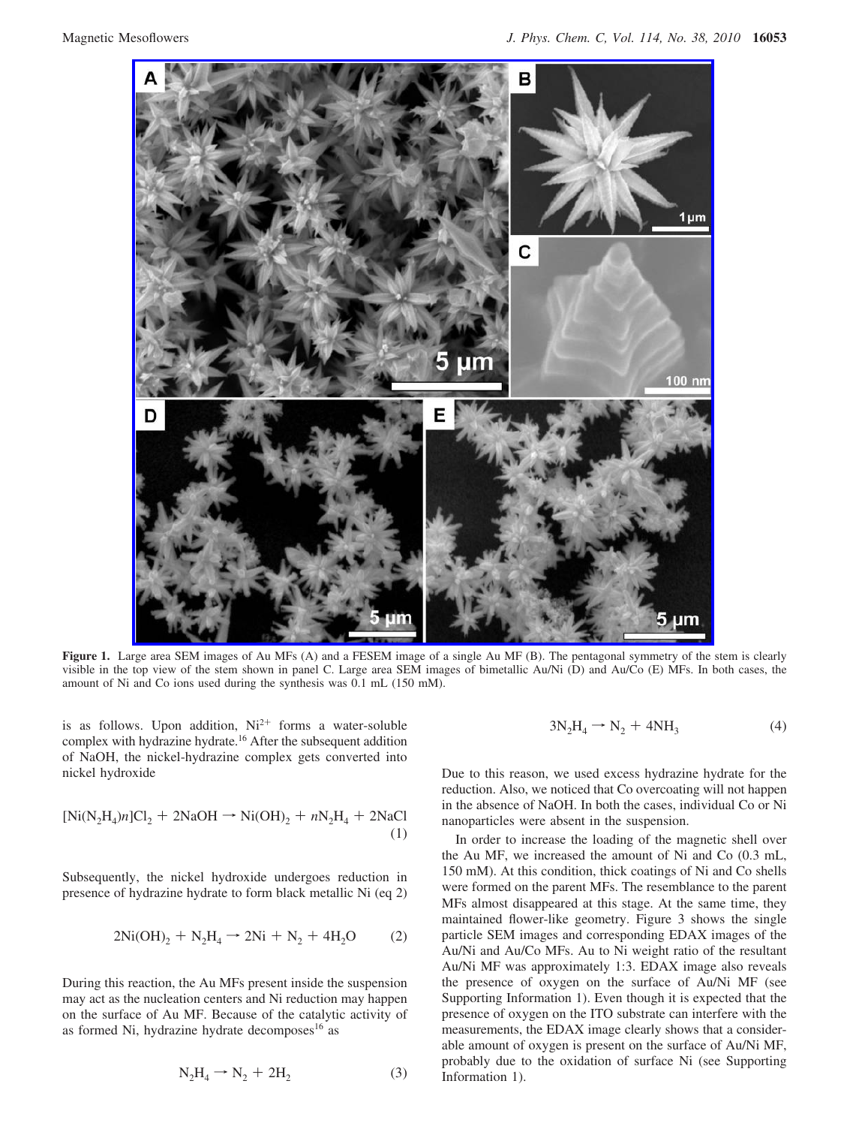

**Figure 1.** Large area SEM images of Au MFs (A) and a FESEM image of a single Au MF (B). The pentagonal symmetry of the stem is clearly visible in the top view of the stem shown in panel C. Large area SEM images of bimetallic Au/Ni (D) and Au/Co (E) MFs. In both cases, the amount of Ni and Co ions used during the synthesis was 0.1 mL (150 mM).

is as follows. Upon addition,  $Ni^{2+}$  forms a water-soluble complex with hydrazine hydrate.<sup>16</sup> After the subsequent addition of NaOH, the nickel-hydrazine complex gets converted into nickel hydroxide

$$
[Ni(N_2H_4)n]Cl_2 + 2NaOH \rightarrow Ni(OH)_2 + nN_2H_4 + 2NaCl
$$
<sup>(1)</sup>

Subsequently, the nickel hydroxide undergoes reduction in presence of hydrazine hydrate to form black metallic Ni (eq 2)

$$
2Ni(OH)2 + N2H4 \rightarrow 2Ni + N2 + 4H2O
$$
 (2)

During this reaction, the Au MFs present inside the suspension may act as the nucleation centers and Ni reduction may happen on the surface of Au MF. Because of the catalytic activity of as formed Ni, hydrazine hydrate decomposes $16$  as

$$
N_2H_4 \rightarrow N_2 + 2H_2 \tag{3}
$$

$$
3N_2H_4 \rightarrow N_2 + 4NH_3 \tag{4}
$$

Due to this reason, we used excess hydrazine hydrate for the reduction. Also, we noticed that Co overcoating will not happen in the absence of NaOH. In both the cases, individual Co or Ni nanoparticles were absent in the suspension.

In order to increase the loading of the magnetic shell over the Au MF, we increased the amount of Ni and Co (0.3 mL, 150 mM). At this condition, thick coatings of Ni and Co shells were formed on the parent MFs. The resemblance to the parent MFs almost disappeared at this stage. At the same time, they maintained flower-like geometry. Figure 3 shows the single particle SEM images and corresponding EDAX images of the Au/Ni and Au/Co MFs. Au to Ni weight ratio of the resultant Au/Ni MF was approximately 1:3. EDAX image also reveals the presence of oxygen on the surface of Au/Ni MF (see Supporting Information 1). Even though it is expected that the presence of oxygen on the ITO substrate can interfere with the measurements, the EDAX image clearly shows that a considerable amount of oxygen is present on the surface of Au/Ni MF, probably due to the oxidation of surface Ni (see Supporting Information 1).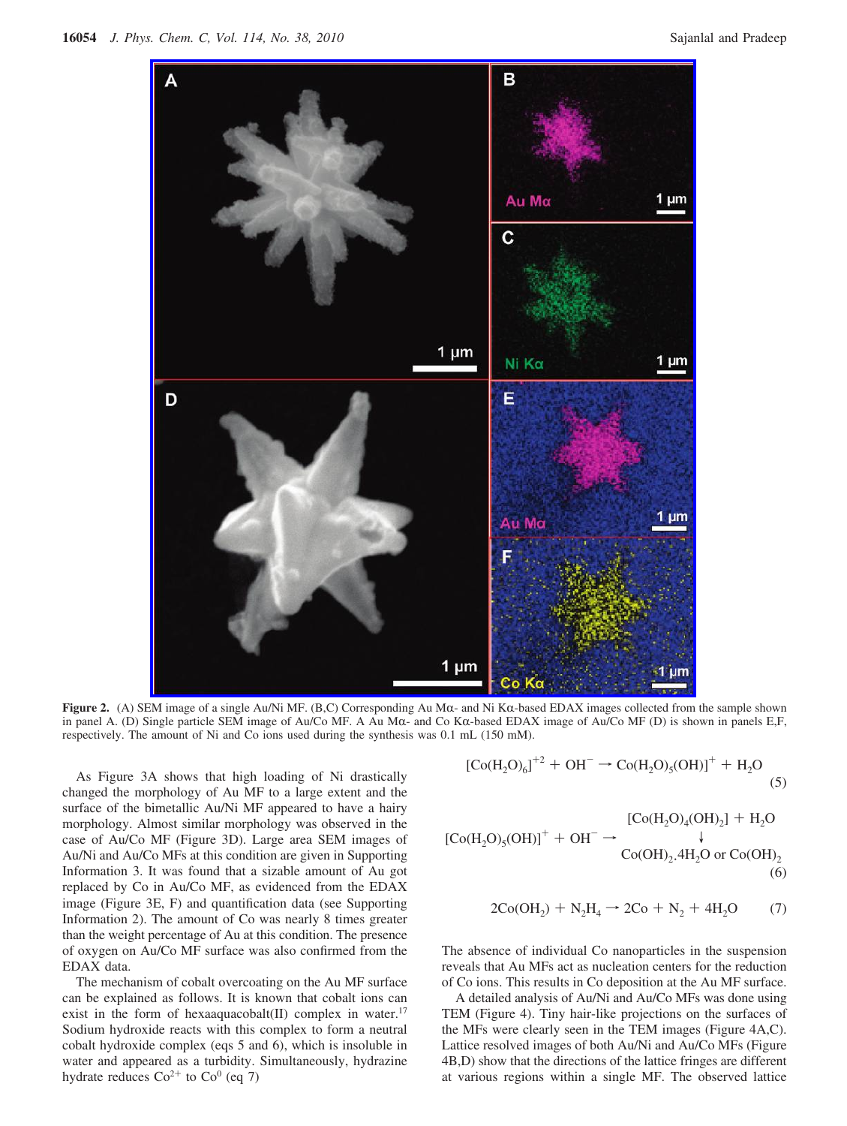

**Figure 2.** (A) SEM image of a single Au/Ni MF. (B,C) Corresponding Au Mα- and Ni Kα-based EDAX images collected from the sample shown in panel A. (D) Single particle SEM image of Au/Co MF. A Au Mα- and Co Kα-based EDAX image of Au/Co MF (D) is shown in panels E,F, respectively. The amount of Ni and Co ions used during the synthesis was 0.1 mL (150 mM).

As Figure 3A shows that high loading of Ni drastically changed the morphology of Au MF to a large extent and the surface of the bimetallic Au/Ni MF appeared to have a hairy morphology. Almost similar morphology was observed in the case of Au/Co MF (Figure 3D). Large area SEM images of Au/Ni and Au/Co MFs at this condition are given in Supporting Information 3. It was found that a sizable amount of Au got replaced by Co in Au/Co MF, as evidenced from the EDAX image (Figure 3E, F) and quantification data (see Supporting Information 2). The amount of Co was nearly 8 times greater than the weight percentage of Au at this condition. The presence of oxygen on Au/Co MF surface was also confirmed from the EDAX data.

The mechanism of cobalt overcoating on the Au MF surface can be explained as follows. It is known that cobalt ions can exist in the form of hexaaquacobalt(II) complex in water.<sup>17</sup> Sodium hydroxide reacts with this complex to form a neutral cobalt hydroxide complex (eqs 5 and 6), which is insoluble in water and appeared as a turbidity. Simultaneously, hydrazine hydrate reduces  $Co^{2+}$  to  $Co^{0}$  (eq 7)

$$
[Co(H_2O)_6]^{+2} + OH^- \to Co(H_2O)_5(OH)]^+ + H_2O
$$
 (5)

$$
[Co(H2O)3(OH)]+ + OH- \rightarrow \begin{array}{c} [Co(H2O)4(OH)2] + H2O \\ \downarrow \\ Co(OH)2, 4H2O or Co(OH)2 \\ (6)\end{array}
$$

$$
2\text{Co}(\text{OH}_2) + \text{N}_2\text{H}_4 \rightarrow 2\text{Co} + \text{N}_2 + 4\text{H}_2\text{O} \tag{7}
$$

The absence of individual Co nanoparticles in the suspension reveals that Au MFs act as nucleation centers for the reduction of Co ions. This results in Co deposition at the Au MF surface.

A detailed analysis of Au/Ni and Au/Co MFs was done using TEM (Figure 4). Tiny hair-like projections on the surfaces of the MFs were clearly seen in the TEM images (Figure 4A,C). Lattice resolved images of both Au/Ni and Au/Co MFs (Figure 4B,D) show that the directions of the lattice fringes are different at various regions within a single MF. The observed lattice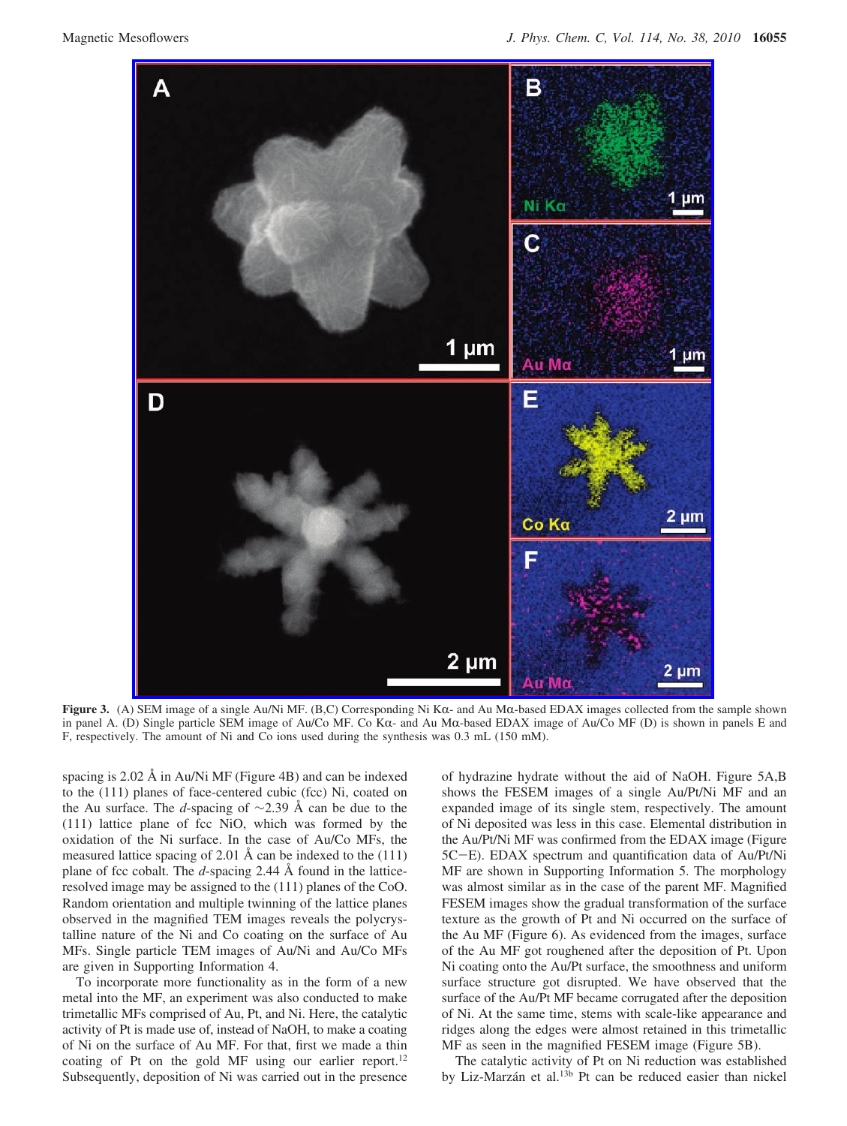

**Figure 3.** (A) SEM image of a single Au/Ni MF. (B,C) Corresponding Ni K $\alpha$ - and Au M $\alpha$ -based EDAX images collected from the sample shown in panel A. (D) Single particle SEM image of Au/Co MF. Co Kα- and Au Mα-based EDAX image of Au/Co MF (D) is shown in panels E and F, respectively. The amount of Ni and Co ions used during the synthesis was 0.3 mL (150 mM).

spacing is 2.02 Å in Au/Ni MF (Figure 4B) and can be indexed to the (111) planes of face-centered cubic (fcc) Ni, coated on the Au surface. The *d*-spacing of ∼2.39 Å can be due to the (111) lattice plane of fcc NiO, which was formed by the oxidation of the Ni surface. In the case of Au/Co MFs, the measured lattice spacing of 2.01 Å can be indexed to the (111) plane of fcc cobalt. The *d*-spacing 2.44 Å found in the latticeresolved image may be assigned to the (111) planes of the CoO. Random orientation and multiple twinning of the lattice planes observed in the magnified TEM images reveals the polycrystalline nature of the Ni and Co coating on the surface of Au MFs. Single particle TEM images of Au/Ni and Au/Co MFs are given in Supporting Information 4.

To incorporate more functionality as in the form of a new metal into the MF, an experiment was also conducted to make trimetallic MFs comprised of Au, Pt, and Ni. Here, the catalytic activity of Pt is made use of, instead of NaOH, to make a coating of Ni on the surface of Au MF. For that, first we made a thin coating of Pt on the gold MF using our earlier report.<sup>12</sup> Subsequently, deposition of Ni was carried out in the presence of hydrazine hydrate without the aid of NaOH. Figure 5A,B shows the FESEM images of a single Au/Pt/Ni MF and an expanded image of its single stem, respectively. The amount of Ni deposited was less in this case. Elemental distribution in the Au/Pt/Ni MF was confirmed from the EDAX image (Figure 5C-E). EDAX spectrum and quantification data of Au/Pt/Ni MF are shown in Supporting Information 5. The morphology was almost similar as in the case of the parent MF. Magnified FESEM images show the gradual transformation of the surface texture as the growth of Pt and Ni occurred on the surface of the Au MF (Figure 6). As evidenced from the images, surface of the Au MF got roughened after the deposition of Pt. Upon Ni coating onto the Au/Pt surface, the smoothness and uniform surface structure got disrupted. We have observed that the surface of the Au/Pt MF became corrugated after the deposition of Ni. At the same time, stems with scale-like appearance and ridges along the edges were almost retained in this trimetallic MF as seen in the magnified FESEM image (Figure 5B).

The catalytic activity of Pt on Ni reduction was established by Liz-Marzán et al.<sup>13b</sup> Pt can be reduced easier than nickel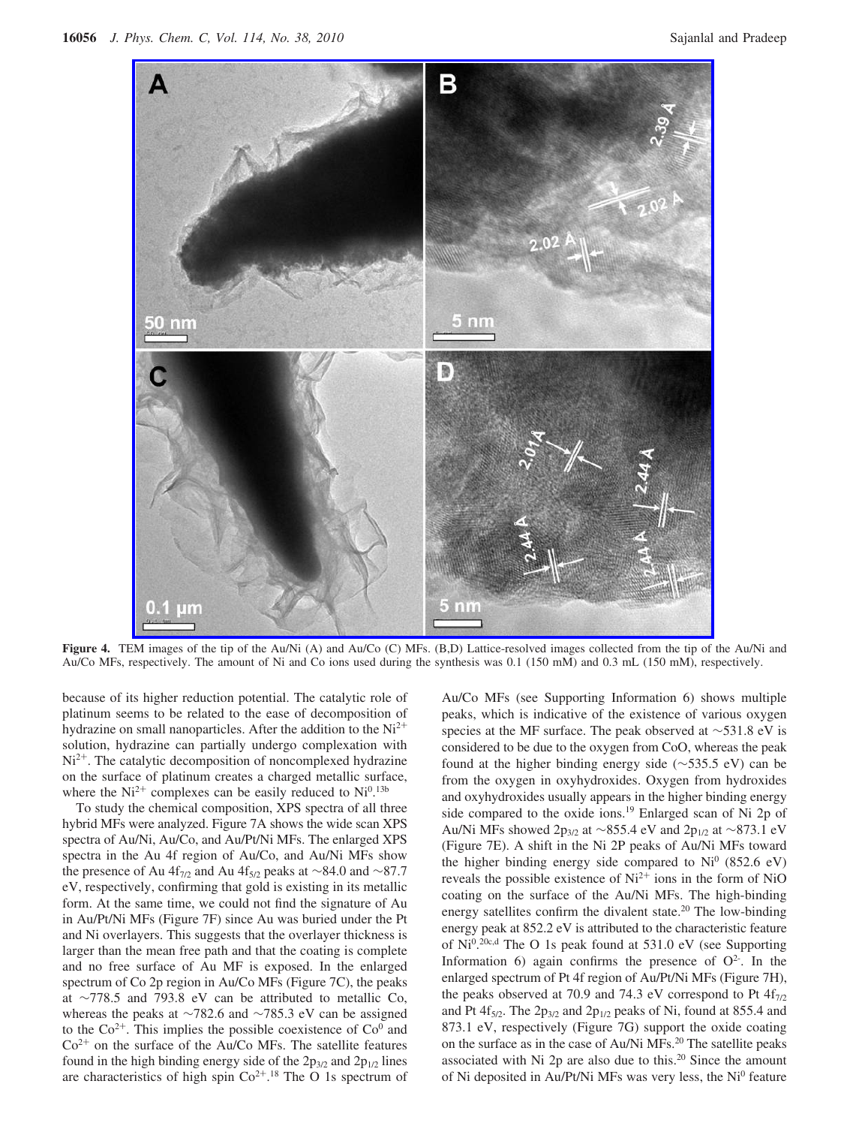

**Figure 4.** TEM images of the tip of the Au/Ni (A) and Au/Co (C) MFs. (B,D) Lattice-resolved images collected from the tip of the Au/Ni and Au/Co MFs, respectively. The amount of Ni and Co ions used during the synthesis was 0.1 (150 mM) and 0.3 mL (150 mM), respectively.

because of its higher reduction potential. The catalytic role of platinum seems to be related to the ease of decomposition of hydrazine on small nanoparticles. After the addition to the  $Ni<sup>2+</sup>$ solution, hydrazine can partially undergo complexation with  $Ni<sup>2+</sup>$ . The catalytic decomposition of noncomplexed hydrazine on the surface of platinum creates a charged metallic surface, where the  $Ni^{2+}$  complexes can be easily reduced to  $Ni^{0.13b}$ 

To study the chemical composition, XPS spectra of all three hybrid MFs were analyzed. Figure 7A shows the wide scan XPS spectra of Au/Ni, Au/Co, and Au/Pt/Ni MFs. The enlarged XPS spectra in the Au 4f region of Au/Co, and Au/Ni MFs show the presence of Au 4f<sub>7/2</sub> and Au 4f<sub>5/2</sub> peaks at ∼84.0 and ∼87.7 eV, respectively, confirming that gold is existing in its metallic form. At the same time, we could not find the signature of Au in Au/Pt/Ni MFs (Figure 7F) since Au was buried under the Pt and Ni overlayers. This suggests that the overlayer thickness is larger than the mean free path and that the coating is complete and no free surface of Au MF is exposed. In the enlarged spectrum of Co 2p region in Au/Co MFs (Figure 7C), the peaks at ∼778.5 and 793.8 eV can be attributed to metallic Co, whereas the peaks at ∼782.6 and ∼785.3 eV can be assigned to the  $Co^{2+}$ . This implies the possible coexistence of  $Co^0$  and  $Co<sup>2+</sup>$  on the surface of the Au/Co MFs. The satellite features found in the high binding energy side of the  $2p_{3/2}$  and  $2p_{1/2}$  lines are characteristics of high spin  $Co^{2+}.18$  The O 1s spectrum of

Au/Co MFs (see Supporting Information 6) shows multiple peaks, which is indicative of the existence of various oxygen species at the MF surface. The peak observed at ∼531.8 eV is considered to be due to the oxygen from CoO, whereas the peak found at the higher binding energy side (∼535.5 eV) can be from the oxygen in oxyhydroxides. Oxygen from hydroxides and oxyhydroxides usually appears in the higher binding energy side compared to the oxide ions.19 Enlarged scan of Ni 2p of Au/Ni MFs showed 2p<sub>3/2</sub> at ∼855.4 eV and 2p<sub>1/2</sub> at ∼873.1 eV (Figure 7E). A shift in the Ni 2P peaks of Au/Ni MFs toward the higher binding energy side compared to  $Ni<sup>0</sup>$  (852.6 eV) reveals the possible existence of  $Ni<sup>2+</sup>$  ions in the form of NiO coating on the surface of the Au/Ni MFs. The high-binding energy satellites confirm the divalent state.<sup>20</sup> The low-binding energy peak at 852.2 eV is attributed to the characteristic feature of  $Ni^{0.20c,d}$  The O 1s peak found at 531.0 eV (see Supporting Information 6) again confirms the presence of  $O<sup>2</sup>$ . In the enlarged spectrum of Pt 4f region of Au/Pt/Ni MFs (Figure 7H), the peaks observed at 70.9 and 74.3 eV correspond to Pt  $4f_{7/2}$ and Pt  $4f_{5/2}$ . The  $2p_{3/2}$  and  $2p_{1/2}$  peaks of Ni, found at 855.4 and 873.1 eV, respectively (Figure 7G) support the oxide coating on the surface as in the case of Au/Ni MFs.20 The satellite peaks associated with Ni 2p are also due to this.<sup>20</sup> Since the amount of Ni deposited in Au/Pt/Ni MFs was very less, the Ni<sup>0</sup> feature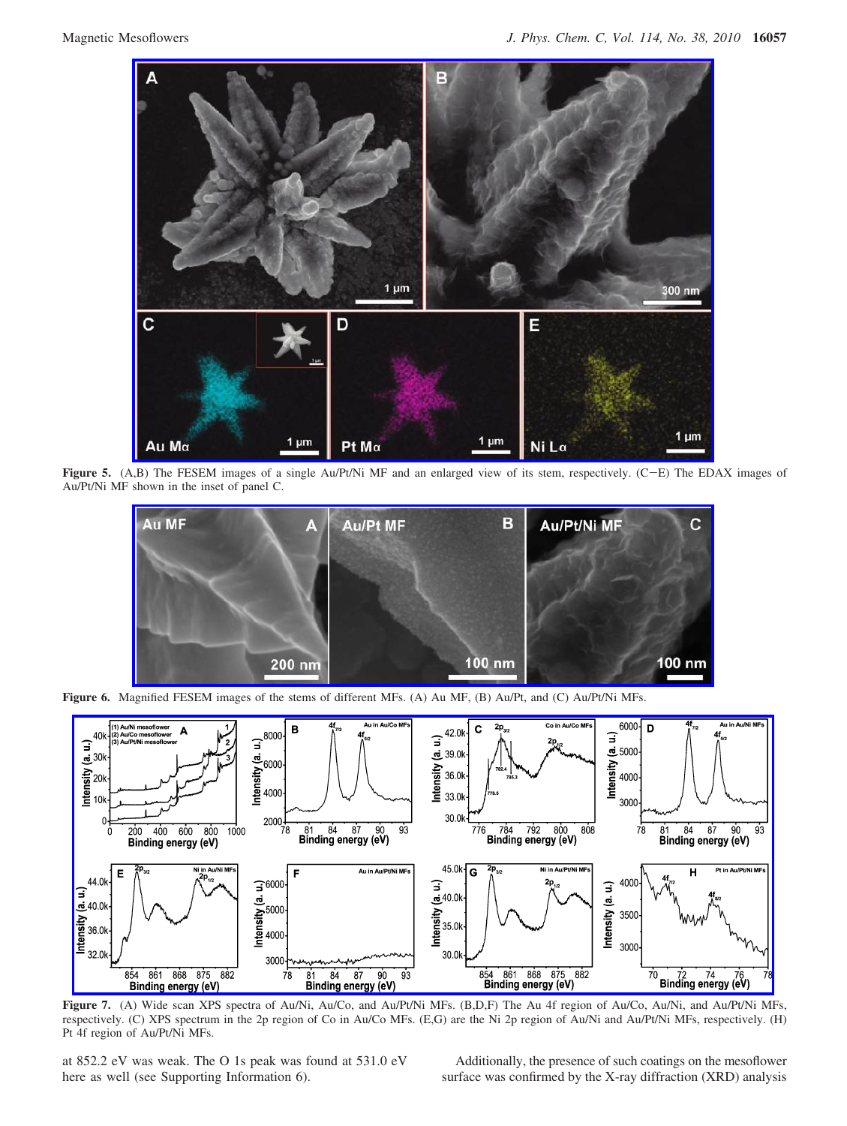

**Figure 5.** (A,B) The FESEM images of a single Au/Pt/Ni MF and an enlarged view of its stem, respectively. (C-E) The EDAX images of Au/Pt/Ni MF shown in the inset of panel C.



**Figure 6.** Magnified FESEM images of the stems of different MFs. (A) Au MF, (B) Au/Pt, and (C) Au/Pt/Ni MFs.



**Figure 7.** (A) Wide scan XPS spectra of Au/Ni, Au/Co, and Au/Pt/Ni MFs. (B,D,F) The Au 4f region of Au/Co, Au/Ni, and Au/Pt/Ni MFs, respectively. (C) XPS spectrum in the 2p region of Co in Au/Co MFs. (E,G) are the Ni 2p region of Au/Ni and Au/Pt/Ni MFs, respectively. (H) Pt 4f region of Au/Pt/Ni MFs.

at 852.2 eV was weak. The O 1s peak was found at 531.0 eV here as well (see Supporting Information 6).

Additionally, the presence of such coatings on the mesoflower surface was confirmed by the X-ray diffraction (XRD) analysis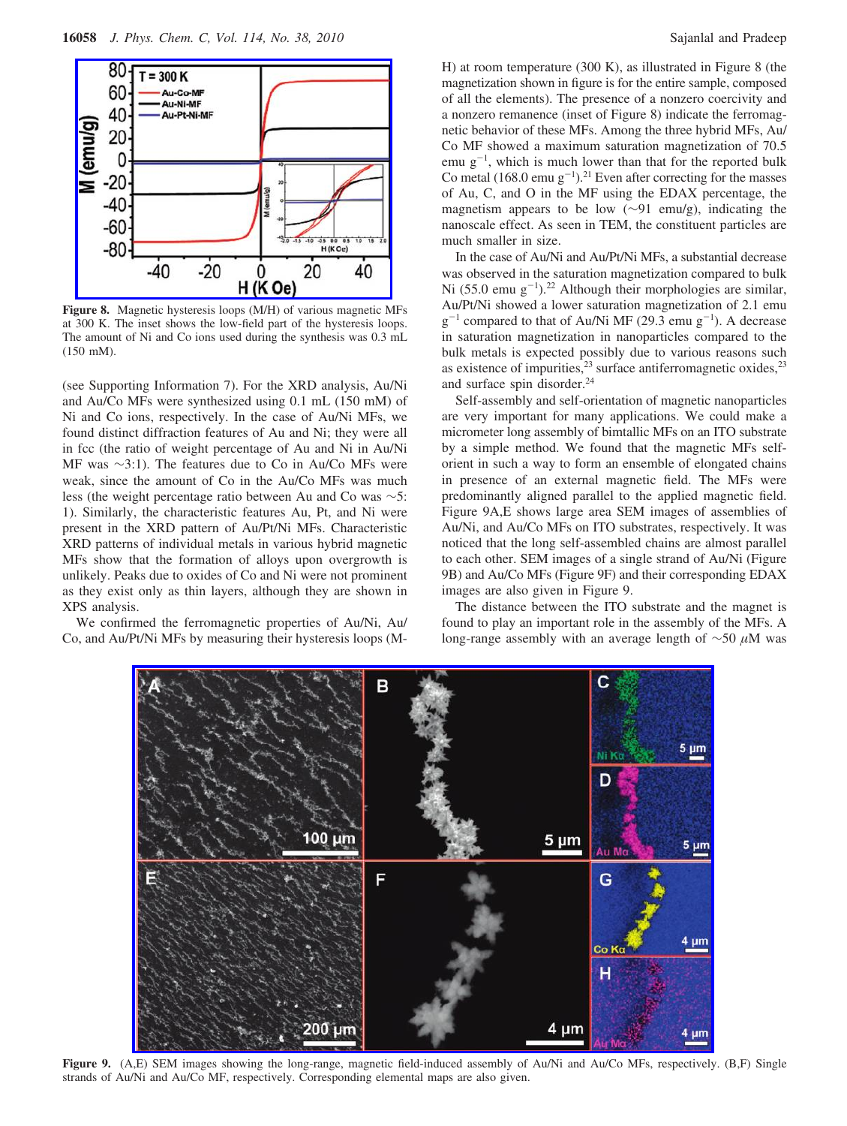

**Figure 8.** Magnetic hysteresis loops (M/H) of various magnetic MFs at 300 K. The inset shows the low-field part of the hysteresis loops. The amount of Ni and Co ions used during the synthesis was 0.3 mL (150 mM).

(see Supporting Information 7). For the XRD analysis, Au/Ni and Au/Co MFs were synthesized using 0.1 mL (150 mM) of Ni and Co ions, respectively. In the case of Au/Ni MFs, we found distinct diffraction features of Au and Ni; they were all in fcc (the ratio of weight percentage of Au and Ni in Au/Ni MF was ∼3:1). The features due to Co in Au/Co MFs were weak, since the amount of Co in the Au/Co MFs was much less (the weight percentage ratio between Au and Co was ∼5: 1). Similarly, the characteristic features Au, Pt, and Ni were present in the XRD pattern of Au/Pt/Ni MFs. Characteristic XRD patterns of individual metals in various hybrid magnetic MFs show that the formation of alloys upon overgrowth is unlikely. Peaks due to oxides of Co and Ni were not prominent as they exist only as thin layers, although they are shown in XPS analysis.

We confirmed the ferromagnetic properties of Au/Ni, Au/ Co, and Au/Pt/Ni MFs by measuring their hysteresis loops (M-

H) at room temperature (300 K), as illustrated in Figure 8 (the magnetization shown in figure is for the entire sample, composed of all the elements). The presence of a nonzero coercivity and a nonzero remanence (inset of Figure 8) indicate the ferromagnetic behavior of these MFs. Among the three hybrid MFs, Au/ Co MF showed a maximum saturation magnetization of 70.5 emu  $g^{-1}$ , which is much lower than that for the reported bulk Co metal  $(168.0 \text{ emu g}^{-1})$ .<sup>21</sup> Even after correcting for the masses of Au, C, and O in the MF using the EDAX percentage, the magnetism appears to be low (∼91 emu/g), indicating the nanoscale effect. As seen in TEM, the constituent particles are much smaller in size.

In the case of Au/Ni and Au/Pt/Ni MFs, a substantial decrease was observed in the saturation magnetization compared to bulk Ni  $(55.0 \text{ emu } g^{-1})$ .<sup>22</sup> Although their morphologies are similar, Au/Pt/Ni showed a lower saturation magnetization of 2.1 emu  $g^{-1}$  compared to that of Au/Ni MF (29.3 emu  $g^{-1}$ ). A decrease in saturation magnetization in nanoparticles compared to the bulk metals is expected possibly due to various reasons such as existence of impurities, $2<sup>3</sup>$  surface antiferromagnetic oxides, $2<sup>3</sup>$ and surface spin disorder.<sup>24</sup>

Self-assembly and self-orientation of magnetic nanoparticles are very important for many applications. We could make a micrometer long assembly of bimtallic MFs on an ITO substrate by a simple method. We found that the magnetic MFs selforient in such a way to form an ensemble of elongated chains in presence of an external magnetic field. The MFs were predominantly aligned parallel to the applied magnetic field. Figure 9A,E shows large area SEM images of assemblies of Au/Ni, and Au/Co MFs on ITO substrates, respectively. It was noticed that the long self-assembled chains are almost parallel to each other. SEM images of a single strand of Au/Ni (Figure 9B) and Au/Co MFs (Figure 9F) and their corresponding EDAX images are also given in Figure 9.

The distance between the ITO substrate and the magnet is found to play an important role in the assembly of the MFs. A long-range assembly with an average length of ∼50 *µ*M was



**Figure 9.** (A,E) SEM images showing the long-range, magnetic field-induced assembly of Au/Ni and Au/Co MFs, respectively. (B,F) Single strands of Au/Ni and Au/Co MF, respectively. Corresponding elemental maps are also given.